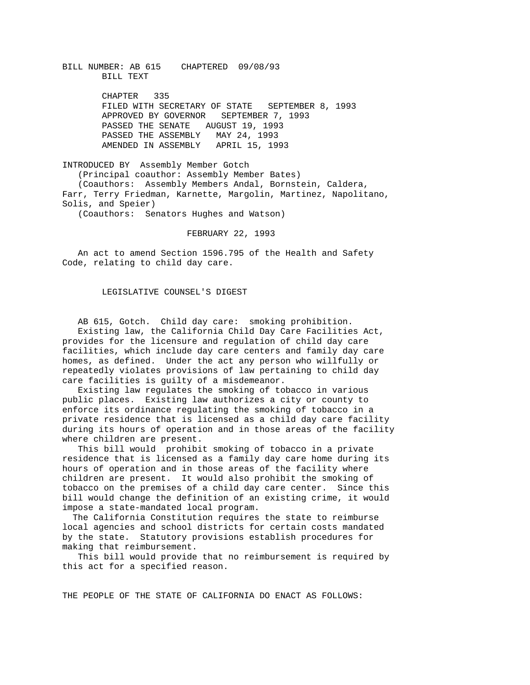BILL NUMBER: AB 615 CHAPTERED 09/08/93 BILL TEXT

> CHAPTER 335 FILED WITH SECRETARY OF STATE SEPTEMBER 8, 1993 APPROVED BY GOVERNOR SEPTEMBER 7, 1993 PASSED THE SENATE AUGUST 19, 1993 PASSED THE ASSEMBLY MAY 24, 1993 AMENDED IN ASSEMBLY APRIL 15, 1993

INTRODUCED BY Assembly Member Gotch (Principal coauthor: Assembly Member Bates) (Coauthors: Assembly Members Andal, Bornstein, Caldera, Farr, Terry Friedman, Karnette, Margolin, Martinez, Napolitano, Solis, and Speier)

(Coauthors: Senators Hughes and Watson)

FEBRUARY 22, 1993

 An act to amend Section 1596.795 of the Health and Safety Code, relating to child day care.

## LEGISLATIVE COUNSEL'S DIGEST

 AB 615, Gotch. Child day care: smoking prohibition. Existing law, the California Child Day Care Facilities Act, provides for the licensure and regulation of child day care facilities, which include day care centers and family day care homes, as defined. Under the act any person who willfully or repeatedly violates provisions of law pertaining to child day care facilities is guilty of a misdemeanor.

 Existing law regulates the smoking of tobacco in various public places. Existing law authorizes a city or county to enforce its ordinance regulating the smoking of tobacco in a private residence that is licensed as a child day care facility during its hours of operation and in those areas of the facility where children are present.

 This bill would prohibit smoking of tobacco in a private residence that is licensed as a family day care home during its hours of operation and in those areas of the facility where children are present. It would also prohibit the smoking of tobacco on the premises of a child day care center. Since this bill would change the definition of an existing crime, it would impose a state-mandated local program.

 The California Constitution requires the state to reimburse local agencies and school districts for certain costs mandated by the state. Statutory provisions establish procedures for making that reimbursement.

 This bill would provide that no reimbursement is required by this act for a specified reason.

THE PEOPLE OF THE STATE OF CALIFORNIA DO ENACT AS FOLLOWS: